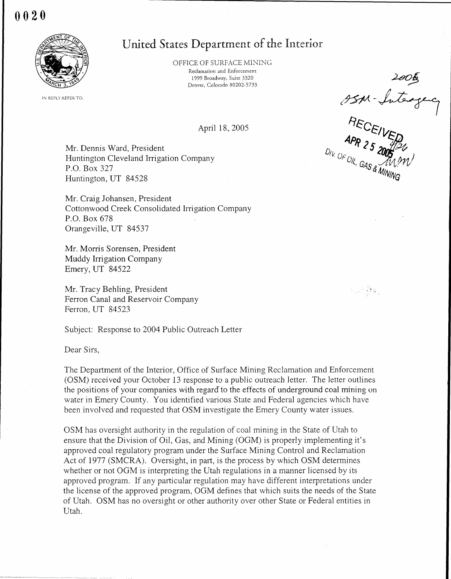## 0020



OFFICE OF SURFACE MINING Reclamation and Enforcement 1999 Broadway, Suite 3320 Denver, Colorado 80202-5733

IN REPLY REFER TO:

April 18, 2005

Mr. Dennis Ward, President Huntington Cleveland Irrigation Company P.O. Box 327 Huntington, UT 84528

Mr. Craig Johansen, President Cottonwood Creek Consolidated Irrigation Company P.O . Box 678 Orangeville, UT 84537

Mr. Morris Sorensen, President Muddy Irrigation Company Emery, UT 84522

Mr. Tracy Behling, President Ferron Canal and Reservoir Company Ferron, UT 84523

Subject: Response to 2004 Public Outreach Letter

Dear Sirs,

The Department of the Interior, Office of Surface Mining Reclamation and Enforcement (OSM) received your October 13 response to a public outreach letter . The letter outlines the positions of your companies with regard to the effects of underground coal mining on water in Emery County. You identified various State and Federal agencies which have been involved and requested that OSM investigate the Emery County water issues.

OSM has oversight authority in the regulation of coal mining in the State of Utah to ensure that the Division of Oil, Gas, and Mining (OGM) is properly implementing it's approved coal regulatory program under the Surface Mining Control and Reclamation Act of 1977 (SMCRA). Oversight, in part, is the process by which OSM determines whether or not OGM is interpreting the Utah regulations in a manner licensed by its approved program. If any particular regulation may have different interpretations under the license of the approved program, OGM defines that which suits the needs of the State of Utah . OSM has no oversight or other authority over other State or Federal entities in Utah.

United States Department of the Interior<br>
OFFICE OF SURFACE MINING<br>
Redamation and Enforcement<br>
Dependance 89202-5733<br>
Dependance 89202-5733<br>
April 18, 2005<br>
April 18, 2005<br>
April 25 2005<br>
April 25 2006<br>
April 25 2006<br>
PE

e un Bal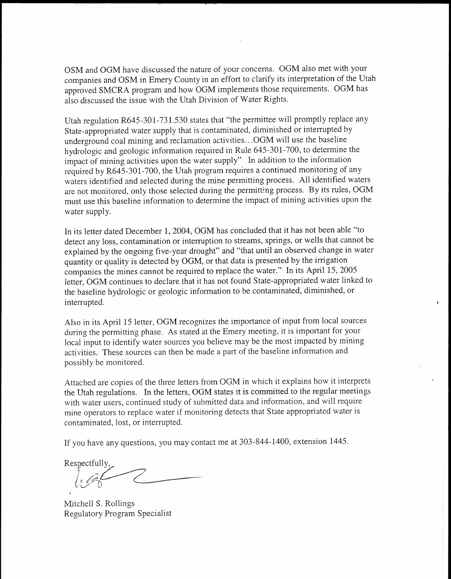OSM and OGM have discussed the nature of your concerns. OGM also met with your companies and OSM in Emery County in an effort to clarify its interpretation of the Utah approved SMCRA program and how OGM implements those requirements . OGM has also discussed the issue with the Utah Division of Water Rights.

Utah regulation R645-301-731 .530 states that "the permittee will promptly replace any State-appropriated water supply that is contaminated, diminished or interrupted by underground coal mining and reclamation activities... OGM will use the baseline hydrologic and geologic information required in Rule 645-301-700, to determine the impact of mining activities upon the water supply" In addition to the information required by R645-301-700, the Utah program requires a continued monitoring of any waters identified and selected during the mine permitting process. All identified waters are not monitored, only those selected during the permitting process. By its rules, OGM must use this baseline information to determine the impact of mining activities upon the water supply.

In its letter dated December 1, 2004, OGM has concluded that it has not been able "to detect any loss, contamination or interruption to streams, springs, or wells that cannot be explained by the ongoing five-year drought" and "that until an observed change in water quantity or quality is detected by OGM, or that data is presented by the irrigation companies the mines cannot be required to replace the water ." In its April 15, 2005 letter, OGM continues to declare that it has not found State-appropriated water linked to the baseline hydrologic or geologic information to be contaminated, diminished, or interrupted.

Also in its April 15 letter, OGM recognizes the importance of input from local sources during the permitting phase. As stated at the Emery meeting, it is important for your local input to identify water sources you believe may be the most impacted by mining activities. These sources can then be made a part of the baseline information and possibly be monitored.

Attached are copies of the three letters from OGM in which it explains how it interprets the Utah regulations. In the letters, OGM states it is committed to the regular meetings with water users, continued study of submitted data and information, and will require mine operators to replace water if monitoring detects that State appropriated water is contaminated, lost, or interrupted.

If you have any questions, you may contact me at 303-844-1400, extension 1445 .

Respectfully

Mitchell S. Rollings Regulatory Program Specialist